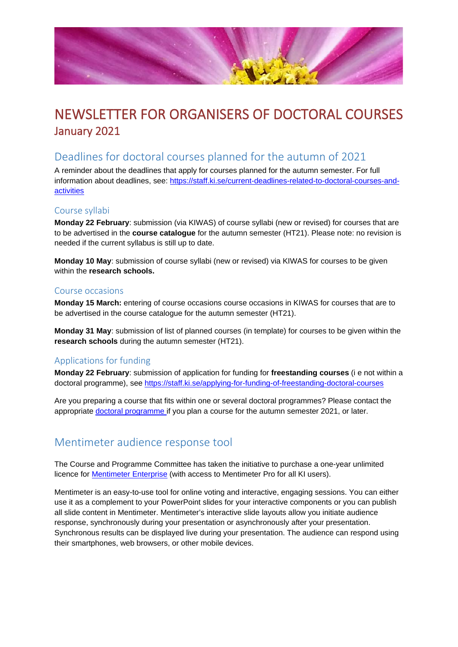

# NEWSLETTER FOR ORGANISERS OF DOCTORAL COURSES January 2021

## Deadlines for doctoral courses planned for the autumn of 2021

A reminder about the deadlines that apply for courses planned for the autumn semester. For full information about deadlines, see: [https://staff.ki.se/current-deadlines-related-to-doctoral-courses-and](https://staff.ki.se/current-deadlines-related-to-doctoral-courses-and-activities)[activities](https://staff.ki.se/current-deadlines-related-to-doctoral-courses-and-activities)

## Course syllabi

**Monday 22 February**: submission (via KIWAS) of course syllabi (new or revised) for courses that are to be advertised in the **course catalogue** for the autumn semester (HT21). Please note: no revision is needed if the current syllabus is still up to date.

**Monday 10 May**: submission of course syllabi (new or revised) via KIWAS for courses to be given within the **research schools.**

### Course occasions

**Monday 15 March:** entering of course occasions course occasions in KIWAS for courses that are to be advertised in the course catalogue for the autumn semester (HT21).

**Monday 31 May**: submission of list of planned courses (in template) for courses to be given within the **research schools** during the autumn semester (HT21).

### Applications for funding

**Monday 22 February**: submission of application for funding for **freestanding courses** (i e not within a doctoral programme), see <https://staff.ki.se/applying-for-funding-of-freestanding-doctoral-courses>

Are you preparing a course that fits within one or several doctoral programmes? Please contact the appropriate [doctoral programme if](https://staff.ki.se/doctoral-programmes) you plan a course for the autumn semester 2021, or later.

## Mentimeter audience response tool

The Course and Programme Committee has taken the initiative to purchase a one-year unlimited licence for **Mentimeter Enterprise** (with access to Mentimeter Pro for all KI users).

Mentimeter is an easy-to-use tool for online voting and interactive, engaging sessions. You can either use it as a complement to your PowerPoint slides for your interactive components or you can publish all slide content in Mentimeter. Mentimeter's interactive slide layouts allow you initiate audience response, synchronously during your presentation or asynchronously after your presentation. Synchronous results can be displayed live during your presentation. The audience can respond using their smartphones, web browsers, or other mobile devices.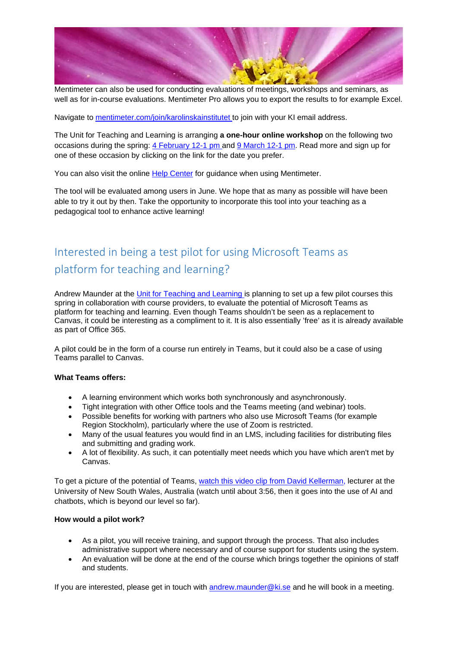

Mentimeter can also be used for conducting evaluations of meetings, workshops and seminars, as well as for in-course evaluations. Mentimeter Pro allows you to export the results to for example Excel.

Navigate to [mentimeter.com/join/karolinskainstitutet t](https://www.mentimeter.com/join/karolinskainstitutet)o join with your KI email address.

The Unit for Teaching and Learning is arranging **a one-hour online workshop** on the following two occasions during the spring: [4 February 12-1 pm a](https://news.ki.se/mentimeter-audience-response-tool)nd [9 March 12-1 pm.](https://news.ki.se/mentimeter-audience-response-tool-0) Read more and sign up for one of these occasion by clicking on the link for the date you prefer.

You can also visit the online [Help Center](https://help.mentimeter.com/en/?utm_campaign=onboarding&utm_medium=email&utm_source=rponboarding&utm_content=other&utm_term=L1) for guidance when using Mentimeter.

The tool will be evaluated among users in June. We hope that as many as possible will have been able to try it out by then. Take the opportunity to incorporate this tool into your teaching as a pedagogical tool to enhance active learning!

# Interested in being a test pilot for using Microsoft Teams as platform for teaching and learning?

Andrew Maunder at the [Unit for Teaching and Learning is](https://staff.ki.se/teaching-and-learning) planning to set up a few pilot courses this spring in collaboration with course providers, to evaluate the potential of Microsoft Teams as platform for teaching and learning. Even though Teams shouldn't be seen as a replacement to Canvas, it could be interesting as a compliment to it. It is also essentially 'free' as it is already available as part of Office 365.

A pilot could be in the form of a course run entirely in Teams, but it could also be a case of using Teams parallel to Canvas.

### **What Teams offers:**

- A learning environment which works both synchronously and asynchronously.
- Tight integration with other Office tools and the Teams meeting (and webinar) tools.
- Possible benefits for working with partners who also use Microsoft Teams (for example Region Stockholm), particularly where the use of Zoom is restricted.
- Many of the usual features you would find in an LMS, including facilities for distributing files and submitting and grading work.
- A lot of flexibility. As such, it can potentially meet needs which you have which aren't met by Canvas.

To get a picture of the potential of Teams, [watch this video clip from David Kellerman,](https://www.youtube.com/watch?v=NcbQ2UK69Tc) lecturer at the University of New South Wales, Australia (watch until about 3:56, then it goes into the use of AI and chatbots, which is beyond our level so far).

### **How would a pilot work?**

- As a pilot, you will receive training, and support through the process. That also includes administrative support where necessary and of course support for students using the system.
- An evaluation will be done at the end of the course which brings together the opinions of staff and students.

If you are interested, please get in touch with [andrew.maunder@ki.se](mailto:andrew.maunder@ki.se) and he will book in a meeting.